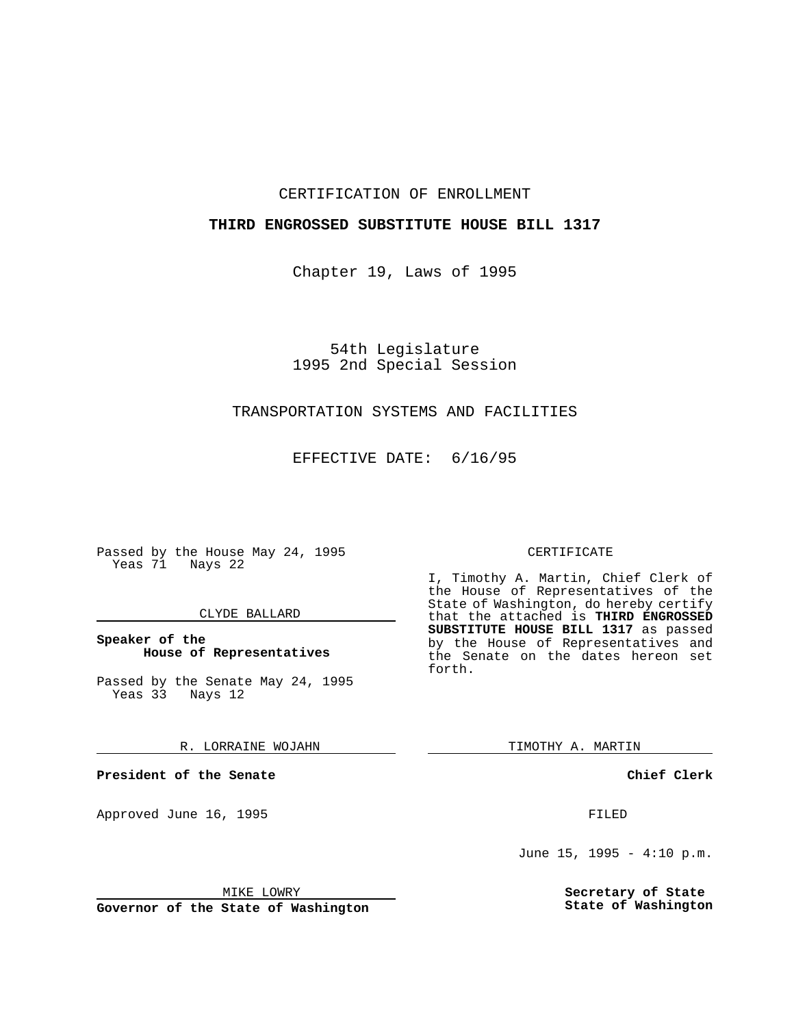# CERTIFICATION OF ENROLLMENT

# **THIRD ENGROSSED SUBSTITUTE HOUSE BILL 1317**

Chapter 19, Laws of 1995

54th Legislature 1995 2nd Special Session

# TRANSPORTATION SYSTEMS AND FACILITIES

EFFECTIVE DATE: 6/16/95

Passed by the House May 24, 1995 Yeas 71 Nays 22

# CLYDE BALLARD

# **Speaker of the House of Representatives**

Passed by the Senate May 24, 1995 Yeas 33 Nays 12

#### R. LORRAINE WOJAHN

**President of the Senate**

Approved June 16, 1995 FILED

#### MIKE LOWRY

**Governor of the State of Washington**

#### CERTIFICATE

I, Timothy A. Martin, Chief Clerk of the House of Representatives of the State of Washington, do hereby certify that the attached is **THIRD ENGROSSED SUBSTITUTE HOUSE BILL 1317** as passed by the House of Representatives and the Senate on the dates hereon set forth.

TIMOTHY A. MARTIN

# **Chief Clerk**

June 15, 1995 - 4:10 p.m.

**Secretary of State State of Washington**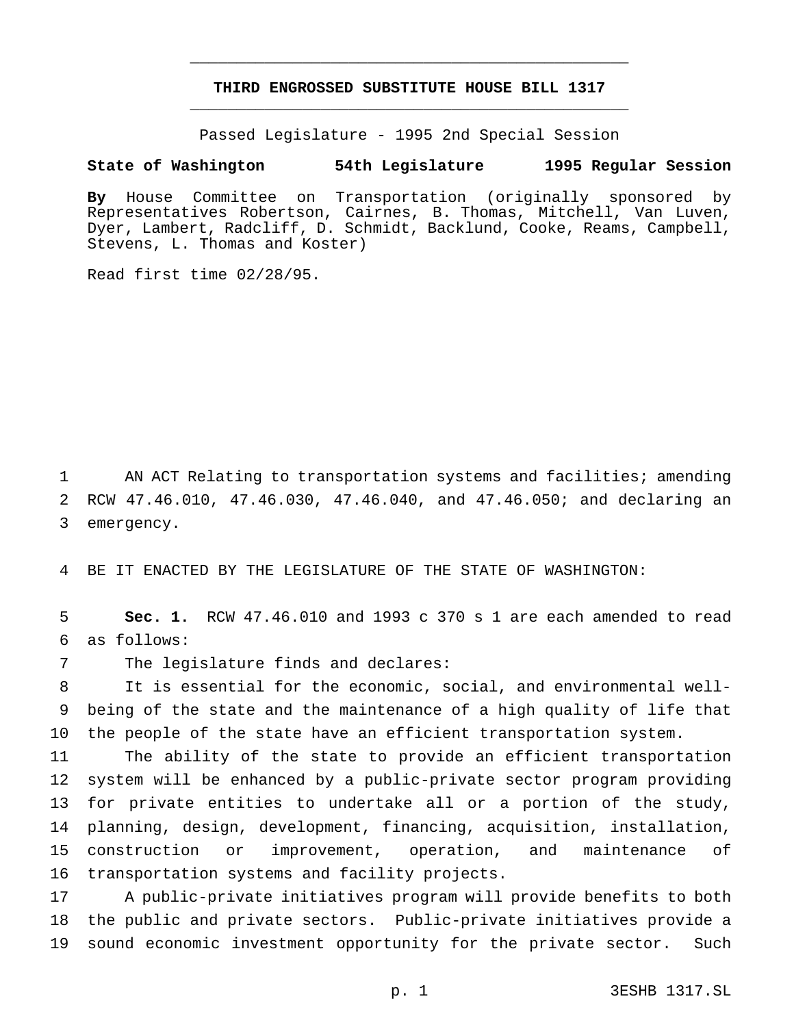# **THIRD ENGROSSED SUBSTITUTE HOUSE BILL 1317** \_\_\_\_\_\_\_\_\_\_\_\_\_\_\_\_\_\_\_\_\_\_\_\_\_\_\_\_\_\_\_\_\_\_\_\_\_\_\_\_\_\_\_\_\_\_\_

\_\_\_\_\_\_\_\_\_\_\_\_\_\_\_\_\_\_\_\_\_\_\_\_\_\_\_\_\_\_\_\_\_\_\_\_\_\_\_\_\_\_\_\_\_\_\_

Passed Legislature - 1995 2nd Special Session

### **State of Washington 54th Legislature 1995 Regular Session**

**By** House Committee on Transportation (originally sponsored by Representatives Robertson, Cairnes, B. Thomas, Mitchell, Van Luven, Dyer, Lambert, Radcliff, D. Schmidt, Backlund, Cooke, Reams, Campbell, Stevens, L. Thomas and Koster)

Read first time 02/28/95.

 AN ACT Relating to transportation systems and facilities; amending RCW 47.46.010, 47.46.030, 47.46.040, and 47.46.050; and declaring an emergency.

BE IT ENACTED BY THE LEGISLATURE OF THE STATE OF WASHINGTON:

 **Sec. 1.** RCW 47.46.010 and 1993 c 370 s 1 are each amended to read as follows:

The legislature finds and declares:

 It is essential for the economic, social, and environmental well- being of the state and the maintenance of a high quality of life that the people of the state have an efficient transportation system.

 The ability of the state to provide an efficient transportation system will be enhanced by a public-private sector program providing for private entities to undertake all or a portion of the study, planning, design, development, financing, acquisition, installation, construction or improvement, operation, and maintenance of transportation systems and facility projects.

 A public-private initiatives program will provide benefits to both the public and private sectors. Public-private initiatives provide a sound economic investment opportunity for the private sector. Such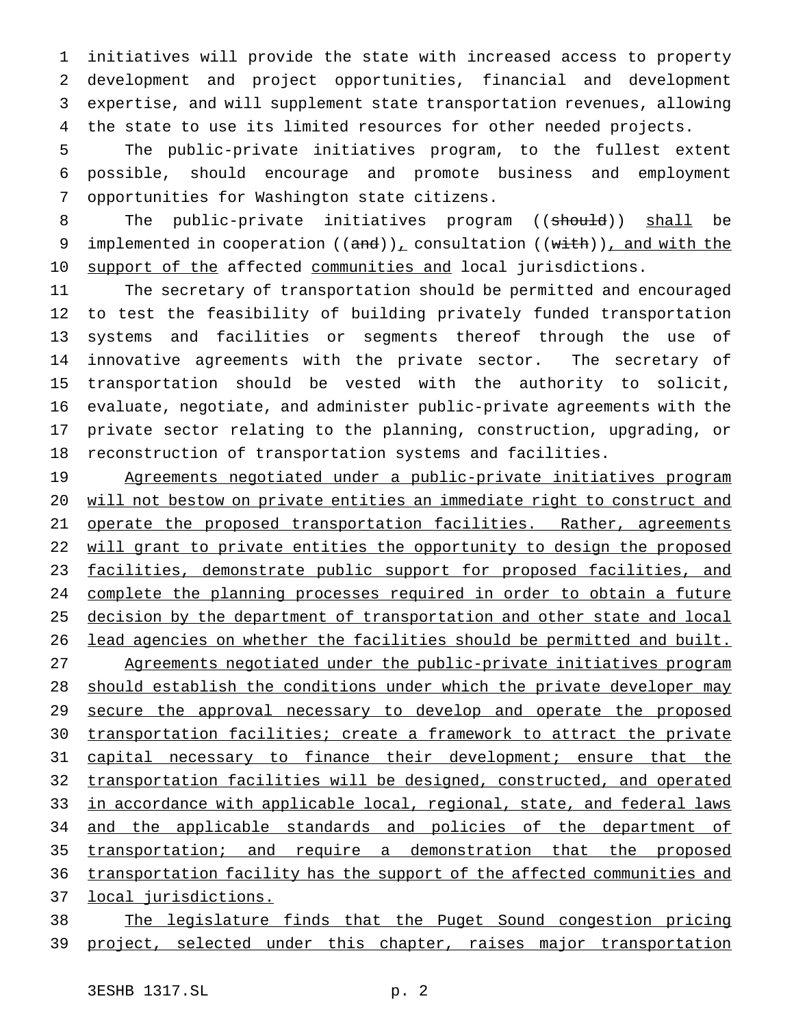initiatives will provide the state with increased access to property development and project opportunities, financial and development expertise, and will supplement state transportation revenues, allowing the state to use its limited resources for other needed projects.

 The public-private initiatives program, to the fullest extent possible, should encourage and promote business and employment opportunities for Washington state citizens.

8 The public-private initiatives program ((should)) shall be 9 implemented in cooperation  $((and))_+$  consultation  $((with))_+$  and with the 10 support of the affected communities and local jurisdictions.

 The secretary of transportation should be permitted and encouraged to test the feasibility of building privately funded transportation systems and facilities or segments thereof through the use of innovative agreements with the private sector. The secretary of transportation should be vested with the authority to solicit, evaluate, negotiate, and administer public-private agreements with the private sector relating to the planning, construction, upgrading, or reconstruction of transportation systems and facilities.

 Agreements negotiated under a public-private initiatives program will not bestow on private entities an immediate right to construct and 21 operate the proposed transportation facilities. Rather, agreements 22 will grant to private entities the opportunity to design the proposed 23 facilities, demonstrate public support for proposed facilities, and complete the planning processes required in order to obtain a future 25 decision by the department of transportation and other state and local lead agencies on whether the facilities should be permitted and built. Agreements negotiated under the public-private initiatives program 28 should establish the conditions under which the private developer may 29 secure the approval necessary to develop and operate the proposed transportation facilities; create a framework to attract the private 31 capital necessary to finance their development; ensure that the transportation facilities will be designed, constructed, and operated 33 in accordance with applicable local, regional, state, and federal laws 34 and the applicable standards and policies of the department of transportation; and require a demonstration that the proposed transportation facility has the support of the affected communities and local jurisdictions.

 The legislature finds that the Puget Sound congestion pricing project, selected under this chapter, raises major transportation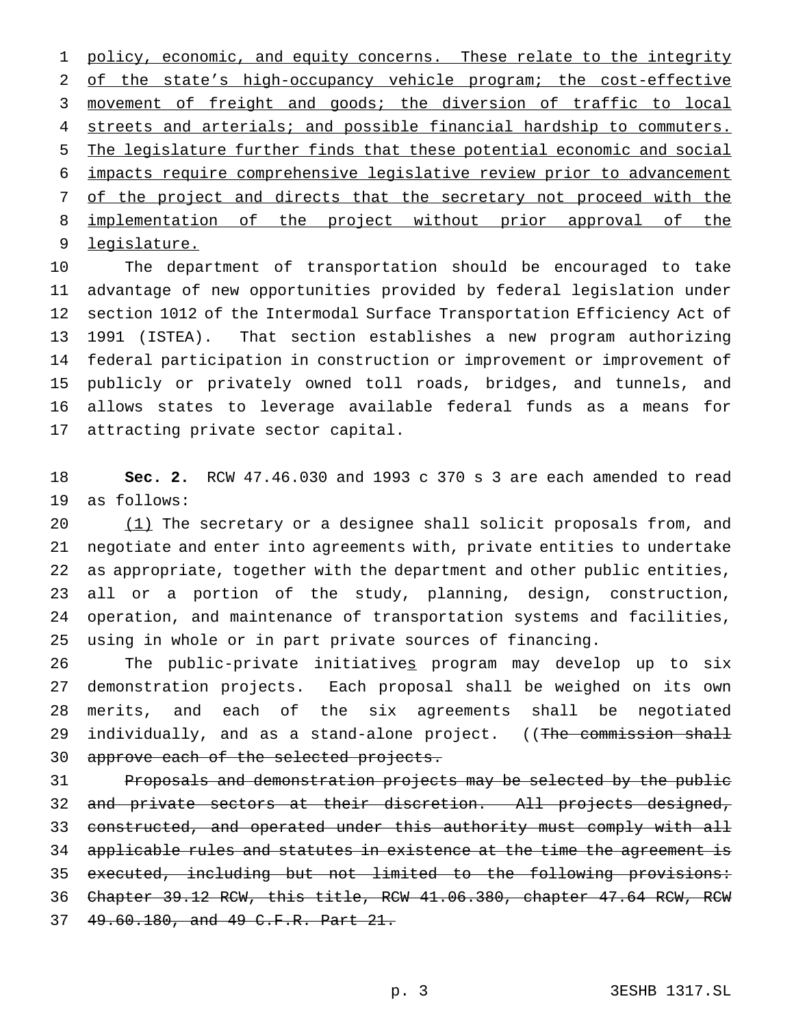1 policy, economic, and equity concerns. These relate to the integrity of the state's high-occupancy vehicle program; the cost-effective movement of freight and goods; the diversion of traffic to local 4 streets and arterials; and possible financial hardship to commuters. The legislature further finds that these potential economic and social impacts require comprehensive legislative review prior to advancement 7 of the project and directs that the secretary not proceed with the 8 implementation of the project without prior approval of the legislature.

 The department of transportation should be encouraged to take advantage of new opportunities provided by federal legislation under section 1012 of the Intermodal Surface Transportation Efficiency Act of 1991 (ISTEA). That section establishes a new program authorizing federal participation in construction or improvement or improvement of publicly or privately owned toll roads, bridges, and tunnels, and allows states to leverage available federal funds as a means for attracting private sector capital.

 **Sec. 2.** RCW 47.46.030 and 1993 c 370 s 3 are each amended to read as follows:

20 (1) The secretary or a designee shall solicit proposals from, and negotiate and enter into agreements with, private entities to undertake as appropriate, together with the department and other public entities, all or a portion of the study, planning, design, construction, operation, and maintenance of transportation systems and facilities, using in whole or in part private sources of financing.

 The public-private initiatives program may develop up to six demonstration projects. Each proposal shall be weighed on its own merits, and each of the six agreements shall be negotiated 29 individually, and as a stand-alone project. ((The commission shall 30 approve each of the selected projects.

31 Proposals and demonstration projects may be selected by the public 32 and private sectors at their discretion. All projects designed, 33 constructed, and operated under this authority must comply with all applicable rules and statutes in existence at the time the agreement is executed, including but not limited to the following provisions: Chapter 39.12 RCW, this title, RCW 41.06.380, chapter 47.64 RCW, RCW 49.60.180, and 49 C.F.R. Part 21.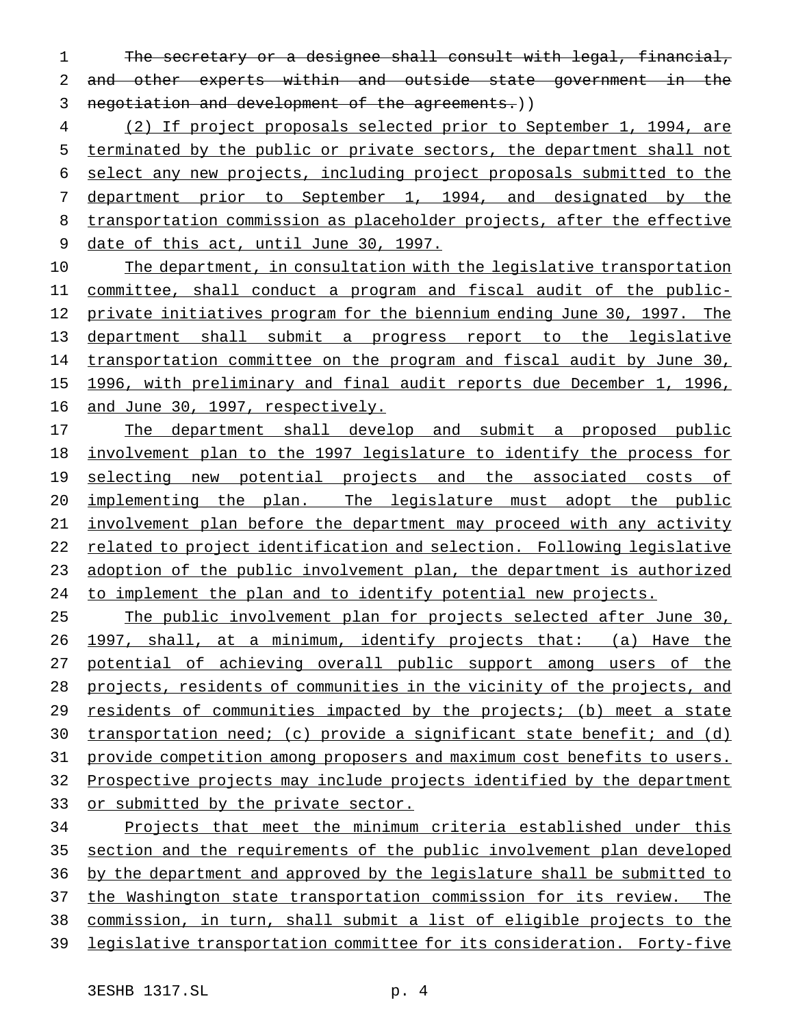The secretary or a designee shall consult with legal, financial, and other experts within and outside state government in the 3 negotiation and development of the agreements.))

 (2) If project proposals selected prior to September 1, 1994, are terminated by the public or private sectors, the department shall not select any new projects, including project proposals submitted to the department prior to September 1, 1994, and designated by the 8 transportation commission as placeholder projects, after the effective 9 date of this act, until June 30, 1997.

 The department, in consultation with the legislative transportation committee, shall conduct a program and fiscal audit of the public- private initiatives program for the biennium ending June 30, 1997. The department shall submit a progress report to the legislative transportation committee on the program and fiscal audit by June 30, 1996, with preliminary and final audit reports due December 1, 1996, 16 and June 30, 1997, respectively.

17 The department shall develop and submit a proposed public involvement plan to the 1997 legislature to identify the process for 19 selecting new potential projects and the associated costs of implementing the plan. The legislature must adopt the public involvement plan before the department may proceed with any activity related to project identification and selection. Following legislative adoption of the public involvement plan, the department is authorized to implement the plan and to identify potential new projects.

25 The public involvement plan for projects selected after June 30, 1997, shall, at a minimum, identify projects that: (a) Have the potential of achieving overall public support among users of the projects, residents of communities in the vicinity of the projects, and 29 residents of communities impacted by the projects; (b) meet a state transportation need; (c) provide a significant state benefit; and (d) provide competition among proposers and maximum cost benefits to users. Prospective projects may include projects identified by the department or submitted by the private sector.

 Projects that meet the minimum criteria established under this section and the requirements of the public involvement plan developed by the department and approved by the legislature shall be submitted to 37 the Washington state transportation commission for its review. The commission, in turn, shall submit a list of eligible projects to the legislative transportation committee for its consideration. Forty-five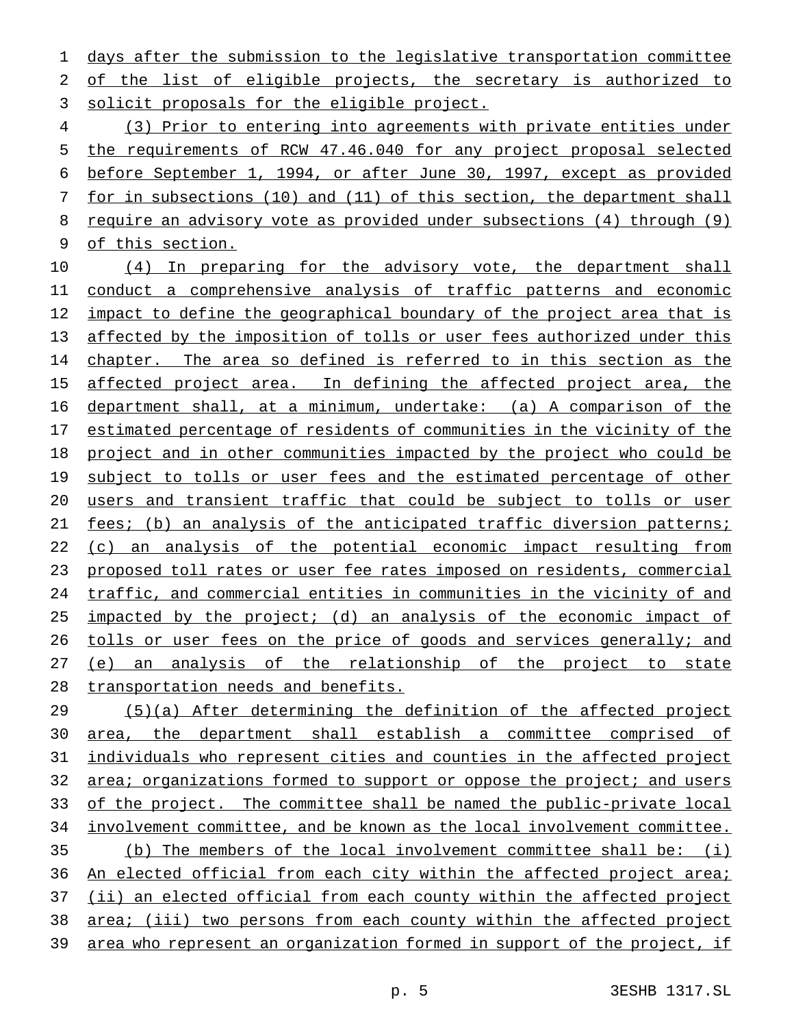days after the submission to the legislative transportation committee of the list of eligible projects, the secretary is authorized to solicit proposals for the eligible project.

 (3) Prior to entering into agreements with private entities under the requirements of RCW 47.46.040 for any project proposal selected before September 1, 1994, or after June 30, 1997, except as provided for in subsections (10) and (11) of this section, the department shall require an advisory vote as provided under subsections (4) through (9) of this section.

10 (4) In preparing for the advisory vote, the department shall conduct a comprehensive analysis of traffic patterns and economic impact to define the geographical boundary of the project area that is affected by the imposition of tolls or user fees authorized under this chapter. The area so defined is referred to in this section as the 15 affected project area. In defining the affected project area, the department shall, at a minimum, undertake: (a) A comparison of the estimated percentage of residents of communities in the vicinity of the project and in other communities impacted by the project who could be 19 subject to tolls or user fees and the estimated percentage of other users and transient traffic that could be subject to tolls or user fees; (b) an analysis of the anticipated traffic diversion patterns; 22 (c) an analysis of the potential economic impact resulting from proposed toll rates or user fee rates imposed on residents, commercial traffic, and commercial entities in communities in the vicinity of and impacted by the project; (d) an analysis of the economic impact of tolls or user fees on the price of goods and services generally; and (e) an analysis of the relationship of the project to state transportation needs and benefits.

 (5)(a) After determining the definition of the affected project area, the department shall establish a committee comprised of individuals who represent cities and counties in the affected project 32 area; organizations formed to support or oppose the project; and users of the project. The committee shall be named the public-private local involvement committee, and be known as the local involvement committee. (b) The members of the local involvement committee shall be: (i) 36 An elected official from each city within the affected project area; 37 (ii) an elected official from each county within the affected project area; (iii) two persons from each county within the affected project area who represent an organization formed in support of the project, if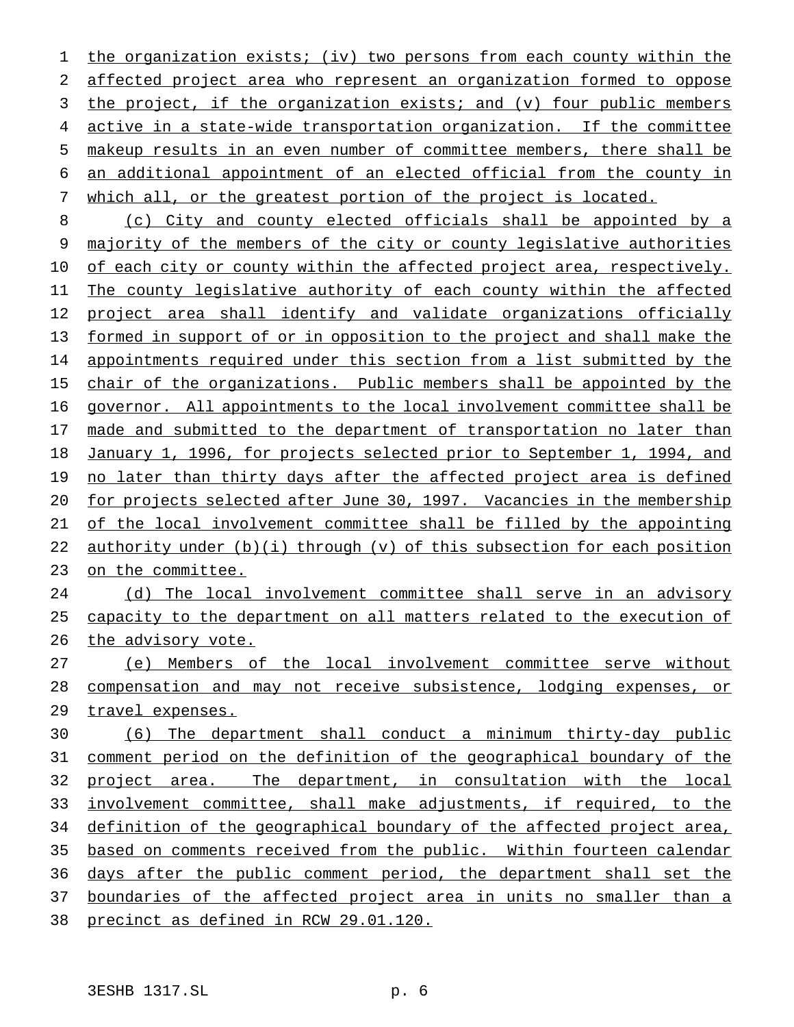the organization exists; (iv) two persons from each county within the affected project area who represent an organization formed to oppose the project, if the organization exists; and (v) four public members active in a state-wide transportation organization. If the committee makeup results in an even number of committee members, there shall be an additional appointment of an elected official from the county in which all, or the greatest portion of the project is located.

 (c) City and county elected officials shall be appointed by a majority of the members of the city or county legislative authorities 10 of each city or county within the affected project area, respectively. The county legislative authority of each county within the affected 12 project area shall identify and validate organizations officially formed in support of or in opposition to the project and shall make the appointments required under this section from a list submitted by the 15 chair of the organizations. Public members shall be appointed by the governor. All appointments to the local involvement committee shall be 17 made and submitted to the department of transportation no later than January 1, 1996, for projects selected prior to September 1, 1994, and 19 no later than thirty days after the affected project area is defined for projects selected after June 30, 1997. Vacancies in the membership of the local involvement committee shall be filled by the appointing 22 authority under  $(b)(i)$  through  $(v)$  of this subsection for each position on the committee.

 (d) The local involvement committee shall serve in an advisory capacity to the department on all matters related to the execution of the advisory vote.

 (e) Members of the local involvement committee serve without 28 compensation and may not receive subsistence, lodging expenses, or 29 travel expenses.

 (6) The department shall conduct a minimum thirty-day public comment period on the definition of the geographical boundary of the project area. The department, in consultation with the local involvement committee, shall make adjustments, if required, to the 34 definition of the geographical boundary of the affected project area, 35 based on comments received from the public. Within fourteen calendar days after the public comment period, the department shall set the 37 boundaries of the affected project area in units no smaller than a precinct as defined in RCW 29.01.120.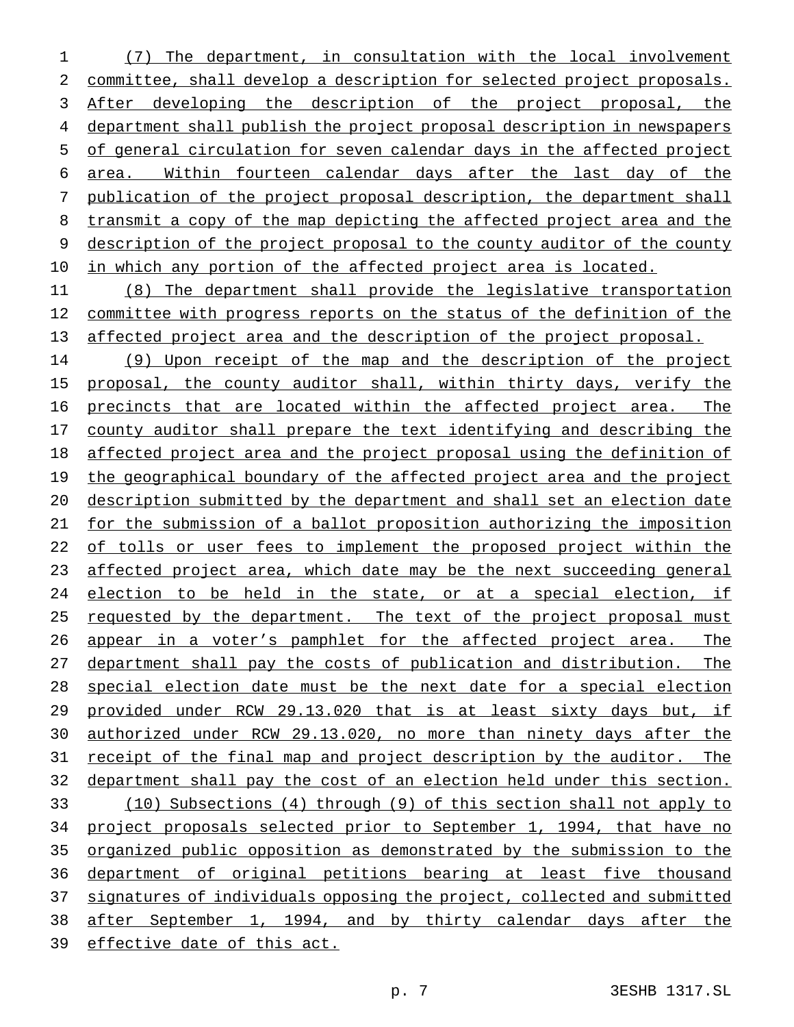(7) The department, in consultation with the local involvement committee, shall develop a description for selected project proposals. After developing the description of the project proposal, the department shall publish the project proposal description in newspapers of general circulation for seven calendar days in the affected project area. Within fourteen calendar days after the last day of the publication of the project proposal description, the department shall transmit a copy of the map depicting the affected project area and the description of the project proposal to the county auditor of the county in which any portion of the affected project area is located.

 (8) The department shall provide the legislative transportation 12 committee with progress reports on the status of the definition of the 13 affected project area and the description of the project proposal.

 (9) Upon receipt of the map and the description of the project 15 proposal, the county auditor shall, within thirty days, verify the precincts that are located within the affected project area. The county auditor shall prepare the text identifying and describing the affected project area and the project proposal using the definition of 19 the geographical boundary of the affected project area and the project description submitted by the department and shall set an election date for the submission of a ballot proposition authorizing the imposition 22 of tolls or user fees to implement the proposed project within the affected project area, which date may be the next succeeding general 24 election to be held in the state, or at a special election, if 25 requested by the department. The text of the project proposal must appear in a voter's pamphlet for the affected project area. The department shall pay the costs of publication and distribution. The special election date must be the next date for a special election provided under RCW 29.13.020 that is at least sixty days but, if authorized under RCW 29.13.020, no more than ninety days after the receipt of the final map and project description by the auditor. The department shall pay the cost of an election held under this section. (10) Subsections (4) through (9) of this section shall not apply to project proposals selected prior to September 1, 1994, that have no organized public opposition as demonstrated by the submission to the department of original petitions bearing at least five thousand signatures of individuals opposing the project, collected and submitted after September 1, 1994, and by thirty calendar days after the effective date of this act.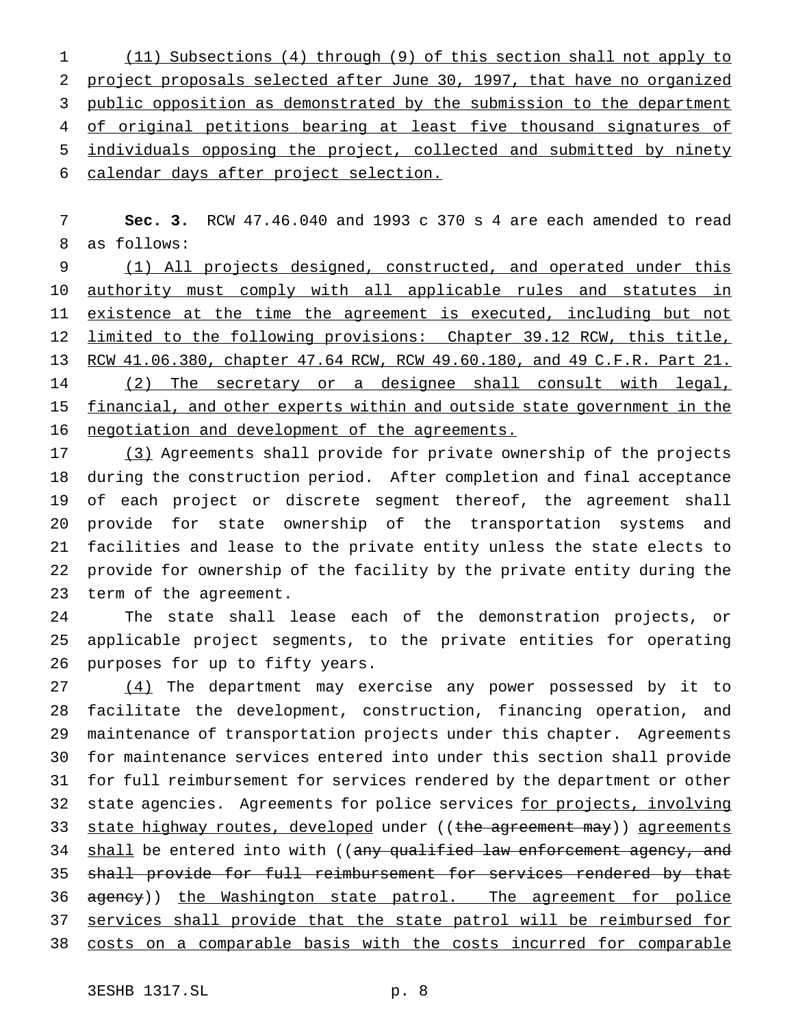(11) Subsections (4) through (9) of this section shall not apply to project proposals selected after June 30, 1997, that have no organized 3 public opposition as demonstrated by the submission to the department 4 of original petitions bearing at least five thousand signatures of individuals opposing the project, collected and submitted by ninety calendar days after project selection.

 **Sec. 3.** RCW 47.46.040 and 1993 c 370 s 4 are each amended to read as follows:

 (1) All projects designed, constructed, and operated under this 10 authority must comply with all applicable rules and statutes in 11 existence at the time the agreement is executed, including but not limited to the following provisions: Chapter 39.12 RCW, this title, 13 RCW 41.06.380, chapter 47.64 RCW, RCW 49.60.180, and 49 C.F.R. Part 21. (2) The secretary or a designee shall consult with legal, financial, and other experts within and outside state government in the negotiation and development of the agreements.

17 (3) Agreements shall provide for private ownership of the projects during the construction period. After completion and final acceptance of each project or discrete segment thereof, the agreement shall provide for state ownership of the transportation systems and facilities and lease to the private entity unless the state elects to provide for ownership of the facility by the private entity during the term of the agreement.

 The state shall lease each of the demonstration projects, or applicable project segments, to the private entities for operating purposes for up to fifty years.

27 (4) The department may exercise any power possessed by it to facilitate the development, construction, financing operation, and maintenance of transportation projects under this chapter. Agreements for maintenance services entered into under this section shall provide for full reimbursement for services rendered by the department or other 32 state agencies. Agreements for police services for projects, involving 33 state highway routes, developed under ((the agreement may)) agreements 34 shall be entered into with ((any qualified law enforcement agency, and 35 shall provide for full reimbursement for services rendered by that 36 agency)) the Washington state patrol. The agreement for police services shall provide that the state patrol will be reimbursed for costs on a comparable basis with the costs incurred for comparable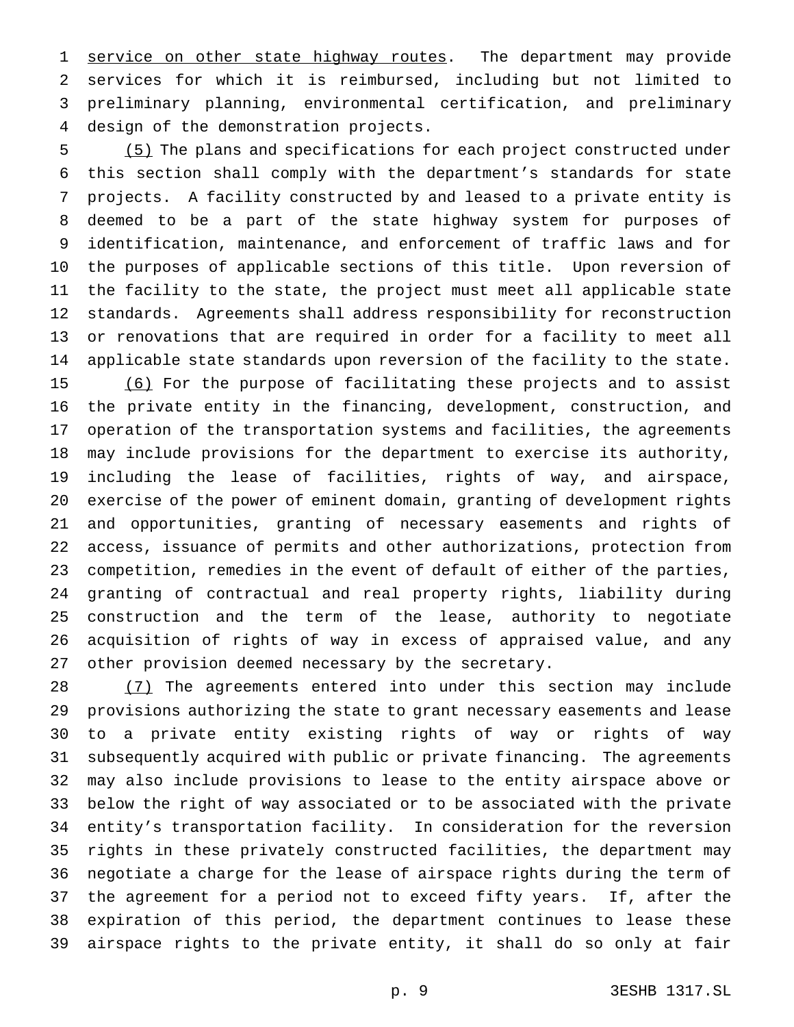1 service on other state highway routes. The department may provide services for which it is reimbursed, including but not limited to preliminary planning, environmental certification, and preliminary design of the demonstration projects.

 (5) The plans and specifications for each project constructed under this section shall comply with the department's standards for state projects. A facility constructed by and leased to a private entity is deemed to be a part of the state highway system for purposes of identification, maintenance, and enforcement of traffic laws and for the purposes of applicable sections of this title. Upon reversion of the facility to the state, the project must meet all applicable state standards. Agreements shall address responsibility for reconstruction or renovations that are required in order for a facility to meet all applicable state standards upon reversion of the facility to the state. (6) For the purpose of facilitating these projects and to assist the private entity in the financing, development, construction, and operation of the transportation systems and facilities, the agreements may include provisions for the department to exercise its authority, including the lease of facilities, rights of way, and airspace, exercise of the power of eminent domain, granting of development rights and opportunities, granting of necessary easements and rights of access, issuance of permits and other authorizations, protection from competition, remedies in the event of default of either of the parties, granting of contractual and real property rights, liability during construction and the term of the lease, authority to negotiate acquisition of rights of way in excess of appraised value, and any other provision deemed necessary by the secretary.

28 (7) The agreements entered into under this section may include provisions authorizing the state to grant necessary easements and lease to a private entity existing rights of way or rights of way subsequently acquired with public or private financing. The agreements may also include provisions to lease to the entity airspace above or below the right of way associated or to be associated with the private entity's transportation facility. In consideration for the reversion rights in these privately constructed facilities, the department may negotiate a charge for the lease of airspace rights during the term of the agreement for a period not to exceed fifty years. If, after the expiration of this period, the department continues to lease these airspace rights to the private entity, it shall do so only at fair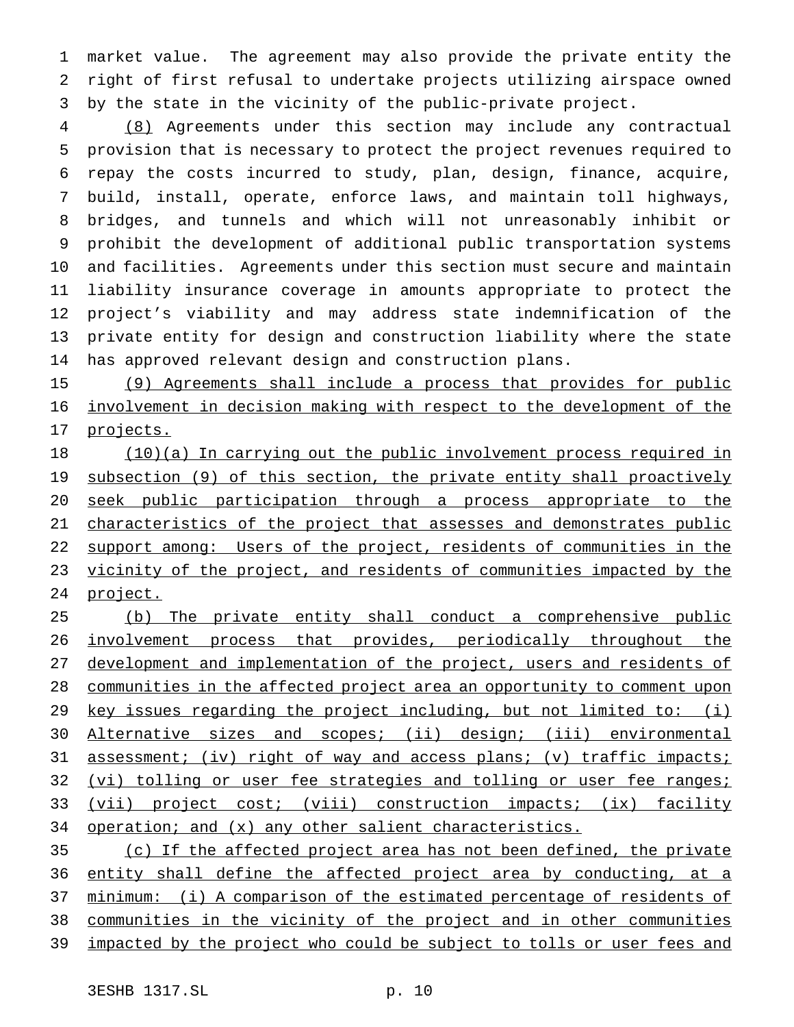market value. The agreement may also provide the private entity the right of first refusal to undertake projects utilizing airspace owned by the state in the vicinity of the public-private project.

 (8) Agreements under this section may include any contractual provision that is necessary to protect the project revenues required to repay the costs incurred to study, plan, design, finance, acquire, build, install, operate, enforce laws, and maintain toll highways, bridges, and tunnels and which will not unreasonably inhibit or prohibit the development of additional public transportation systems and facilities. Agreements under this section must secure and maintain liability insurance coverage in amounts appropriate to protect the project's viability and may address state indemnification of the private entity for design and construction liability where the state has approved relevant design and construction plans.

 (9) Agreements shall include a process that provides for public involvement in decision making with respect to the development of the projects.

 (10)(a) In carrying out the public involvement process required in 19 subsection (9) of this section, the private entity shall proactively seek public participation through a process appropriate to the 21 characteristics of the project that assesses and demonstrates public support among: Users of the project, residents of communities in the 23 vicinity of the project, and residents of communities impacted by the project.

 (b) The private entity shall conduct a comprehensive public involvement process that provides, periodically throughout the 27 development and implementation of the project, users and residents of communities in the affected project area an opportunity to comment upon key issues regarding the project including, but not limited to: (i) Alternative sizes and scopes; (ii) design; (iii) environmental 31 assessment; (iv) right of way and access plans; (v) traffic impacts; 32 (vi) tolling or user fee strategies and tolling or user fee ranges; (vii) project cost; (viii) construction impacts; (ix) facility 34 operation; and (x) any other salient characteristics.

 (c) If the affected project area has not been defined, the private 36 entity shall define the affected project area by conducting, at a minimum: (i) A comparison of the estimated percentage of residents of communities in the vicinity of the project and in other communities 39 impacted by the project who could be subject to tolls or user fees and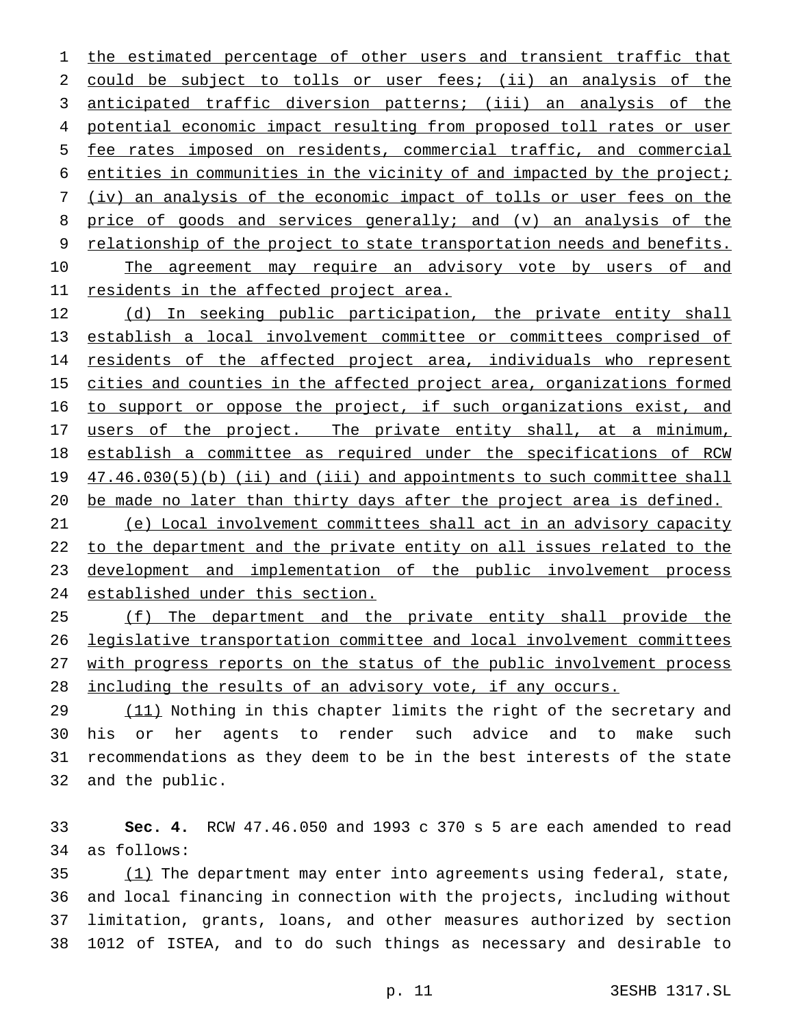1 the estimated percentage of other users and transient traffic that could be subject to tolls or user fees; (ii) an analysis of the anticipated traffic diversion patterns; (iii) an analysis of the 4 potential economic impact resulting from proposed toll rates or user fee rates imposed on residents, commercial traffic, and commercial entities in communities in the vicinity of and impacted by the project; (iv) an analysis of the economic impact of tolls or user fees on the price of goods and services generally; and (v) an analysis of the 9 relationship of the project to state transportation needs and benefits. 10 The agreement may require an advisory vote by users of and 11 residents in the affected project area.

 (d) In seeking public participation, the private entity shall establish a local involvement committee or committees comprised of 14 residents of the affected project area, individuals who represent 15 cities and counties in the affected project area, organizations formed 16 to support or oppose the project, if such organizations exist, and 17 users of the project. The private entity shall, at a minimum, establish a committee as required under the specifications of RCW 19 47.46.030(5)(b) (ii) and (iii) and appointments to such committee shall be made no later than thirty days after the project area is defined.

 (e) Local involvement committees shall act in an advisory capacity 22 to the department and the private entity on all issues related to the development and implementation of the public involvement process established under this section.

 (f) The department and the private entity shall provide the legislative transportation committee and local involvement committees with progress reports on the status of the public involvement process including the results of an advisory vote, if any occurs.

29 (11) Nothing in this chapter limits the right of the secretary and his or her agents to render such advice and to make such recommendations as they deem to be in the best interests of the state and the public.

 **Sec. 4.** RCW 47.46.050 and 1993 c 370 s 5 are each amended to read as follows:

 $\frac{(1)}{1}$  The department may enter into agreements using federal, state, and local financing in connection with the projects, including without limitation, grants, loans, and other measures authorized by section 1012 of ISTEA, and to do such things as necessary and desirable to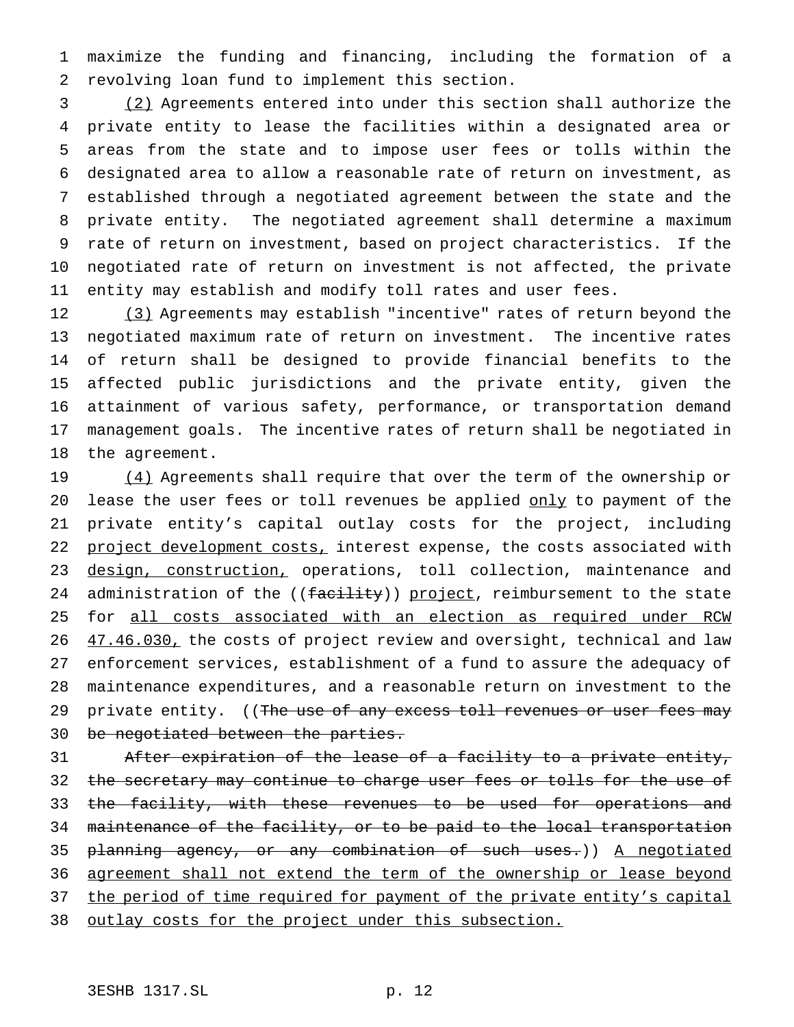1 maximize the funding and financing, including the formation of a 2 revolving loan fund to implement this section.

 (2) Agreements entered into under this section shall authorize the private entity to lease the facilities within a designated area or areas from the state and to impose user fees or tolls within the designated area to allow a reasonable rate of return on investment, as established through a negotiated agreement between the state and the private entity. The negotiated agreement shall determine a maximum rate of return on investment, based on project characteristics. If the negotiated rate of return on investment is not affected, the private entity may establish and modify toll rates and user fees.

12 (3) Agreements may establish "incentive" rates of return beyond the negotiated maximum rate of return on investment. The incentive rates of return shall be designed to provide financial benefits to the affected public jurisdictions and the private entity, given the attainment of various safety, performance, or transportation demand management goals. The incentive rates of return shall be negotiated in the agreement.

19  $(4)$  Agreements shall require that over the term of the ownership or 20 lease the user fees or toll revenues be applied only to payment of the 21 private entity's capital outlay costs for the project, including 22 project development costs, interest expense, the costs associated with 23 design, construction, operations, toll collection, maintenance and 24 administration of the ((facility)) project, reimbursement to the state 25 for all costs associated with an election as required under RCW 26 47.46.030, the costs of project review and oversight, technical and law 27 enforcement services, establishment of a fund to assure the adequacy of 28 maintenance expenditures, and a reasonable return on investment to the 29 private entity. ((The use of any excess toll revenues or user fees may 30 be negotiated between the parties.

31 After expiration of the lease of a facility to a private entity, 32 the secretary may continue to charge user fees or tolls for the use of 33 the facility, with these revenues to be used for operations and 34 maintenance of the facility, or to be paid to the local transportation 35 <del>planning agency, or any combination of such uses.</del>)) <u>A negotiated</u> 36 agreement shall not extend the term of the ownership or lease beyond 37 the period of time required for payment of the private entity's capital 38 outlay costs for the project under this subsection.